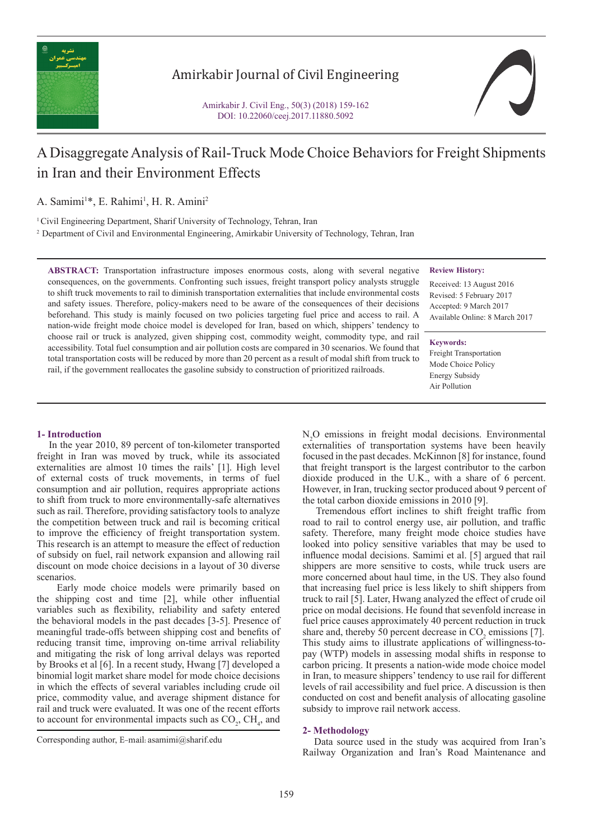

# Amirkabir Journal of Civil Engineering

Amirkabir J. Civil Eng., 50(3) (2018) 159-162 DOI: 10.22060/ceej.2017.11880.5092



# A Disaggregate Analysis of Rail-Truck Mode Choice Behaviors for Freight Shipments in Iran and their Environment Effects

A. Samimi<sup>1\*</sup>, E. Rahimi<sup>1</sup>, H. R. Amini<sup>2</sup>

<sup>1</sup> Civil Engineering Department, Sharif University of Technology, Tehran, Iran

2 Department of Civil and Environmental Engineering, Amirkabir University of Technology, Tehran, Iran

**ABSTRACT:** Transportation infrastructure imposes enormous costs, along with several negative consequences, on the governments. Confronting such issues, freight transport policy analysts struggle to shift truck movements to rail to diminish transportation externalities that include environmental costs and safety issues. Therefore, policy-makers need to be aware of the consequences of their decisions beforehand. This study is mainly focused on two policies targeting fuel price and access to rail. A nation-wide freight mode choice model is developed for Iran, based on which, shippers' tendency to choose rail or truck is analyzed, given shipping cost, commodity weight, commodity type, and rail accessibility. Total fuel consumption and air pollution costs are compared in 30 scenarios. We found that total transportation costs will be reduced by more than 20 percent as a result of modal shift from truck to rail, if the government reallocates the gasoline subsidy to construction of prioritized railroads.

**Review History:**

Received: 13 August 2016 Revised: 5 February 2017 Accepted: 9 March 2017 Available Online: 8 March 2017

#### **Keywords:**

Freight Transportation Mode Choice Policy Energy Subsidy Air Pollution

### **1- Introduction**

 In the year 2010, 89 percent of ton-kilometer transported freight in Iran was moved by truck, while its associated externalities are almost 10 times the rails' [1]. High level of external costs of truck movements, in terms of fuel consumption and air pollution, requires appropriate actions to shift from truck to more environmentally-safe alternatives such as rail. Therefore, providing satisfactory tools to analyze the competition between truck and rail is becoming critical to improve the efficiency of freight transportation system. This research is an attempt to measure the effect of reduction of subsidy on fuel, rail network expansion and allowing rail discount on mode choice decisions in a layout of 30 diverse scenarios.

 Early mode choice models were primarily based on the shipping cost and time [2], while other influential variables such as flexibility, reliability and safety entered the behavioral models in the past decades [3-5]. Presence of meaningful trade-offs between shipping cost and benefits of reducing transit time, improving on-time arrival reliability and mitigating the risk of long arrival delays was reported by Brooks et al [6]. In a recent study, Hwang [7] developed a binomial logit market share model for mode choice decisions in which the effects of several variables including crude oil price, commodity value, and average shipment distance for rail and truck were evaluated. It was one of the recent efforts to account for environmental impacts such as  $CO_2$ ,  $CH_4$ , and

N2 O emissions in freight modal decisions. Environmental externalities of transportation systems have been heavily focused in the past decades. McKinnon [8] for instance, found that freight transport is the largest contributor to the carbon dioxide produced in the U.K., with a share of 6 percent. However, in Iran, trucking sector produced about 9 percent of the total carbon dioxide emissions in 2010 [9].

 Tremendous effort inclines to shift freight traffic from road to rail to control energy use, air pollution, and traffic safety. Therefore, many freight mode choice studies have looked into policy sensitive variables that may be used to influence modal decisions. Samimi et al. [5] argued that rail shippers are more sensitive to costs, while truck users are more concerned about haul time, in the US. They also found that increasing fuel price is less likely to shift shippers from truck to rail [5]. Later, Hwang analyzed the effect of crude oil price on modal decisions. He found that sevenfold increase in fuel price causes approximately 40 percent reduction in truck share and, thereby 50 percent decrease in  $CO<sub>2</sub>$  emissions [7]. This study aims to illustrate applications of willingness-topay (WTP) models in assessing modal shifts in response to carbon pricing. It presents a nation-wide mode choice model in Iran, to measure shippers' tendency to use rail for different levels of rail accessibility and fuel price. A discussion is then conducted on cost and benefit analysis of allocating gasoline subsidy to improve rail network access.

#### **2- Methodology**

 Data source used in the study was acquired from Iran's Railway Organization and Iran's Road Maintenance and

Corresponding author, E-mail: asamimi@sharif.edu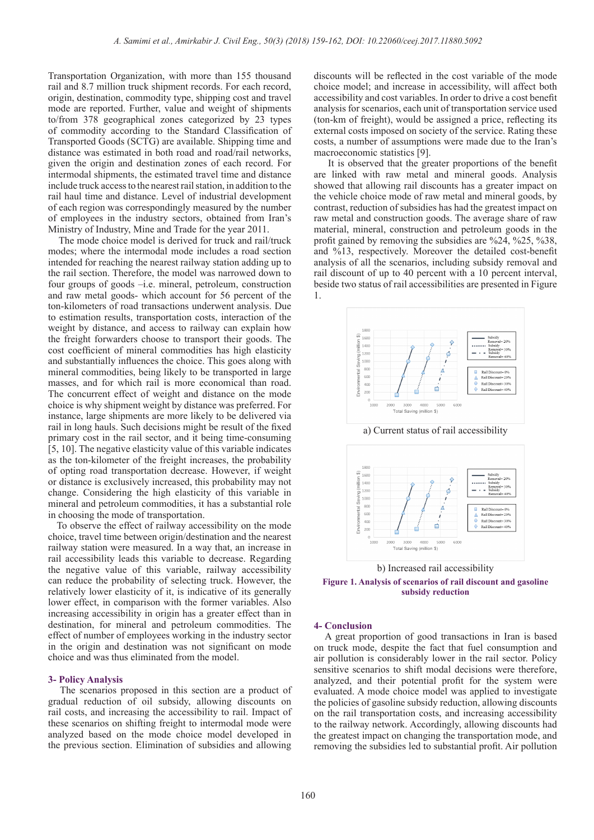Transportation Organization, with more than 155 thousand rail and 8.7 million truck shipment records. For each record, origin, destination, commodity type, shipping cost and travel mode are reported. Further, value and weight of shipments to/from 378 geographical zones categorized by 23 types of commodity according to the Standard Classification of Transported Goods (SCTG) are available. Shipping time and distance was estimated in both road and road/rail networks, given the origin and destination zones of each record. For intermodal shipments, the estimated travel time and distance include truck access to the nearest rail station, in addition to the rail haul time and distance. Level of industrial development of each region was correspondingly measured by the number of employees in the industry sectors, obtained from Iran's Ministry of Industry, Mine and Trade for the year 2011.

 The mode choice model is derived for truck and rail/truck modes; where the intermodal mode includes a road section intended for reaching the nearest railway station adding up to the rail section. Therefore, the model was narrowed down to four groups of goods –i.e. mineral, petroleum, construction and raw metal goods- which account for 56 percent of the ton-kilometers of road transactions underwent analysis. Due to estimation results, transportation costs, interaction of the weight by distance, and access to railway can explain how the freight forwarders choose to transport their goods. The cost coefficient of mineral commodities has high elasticity and substantially influences the choice. This goes along with mineral commodities, being likely to be transported in large masses, and for which rail is more economical than road. The concurrent effect of weight and distance on the mode choice is why shipment weight by distance was preferred. For instance, large shipments are more likely to be delivered via rail in long hauls. Such decisions might be result of the fixed primary cost in the rail sector, and it being time-consuming [5, 10]. The negative elasticity value of this variable indicates as the ton-kilometer of the freight increases, the probability of opting road transportation decrease. However, if weight or distance is exclusively increased, this probability may not change. Considering the high elasticity of this variable in mineral and petroleum commodities, it has a substantial role in choosing the mode of transportation.

 To observe the effect of railway accessibility on the mode choice, travel time between origin/destination and the nearest railway station were measured. In a way that, an increase in rail accessibility leads this variable to decrease. Regarding the negative value of this variable, railway accessibility can reduce the probability of selecting truck. However, the relatively lower elasticity of it, is indicative of its generally lower effect, in comparison with the former variables. Also increasing accessibility in origin has a greater effect than in destination, for mineral and petroleum commodities. The effect of number of employees working in the industry sector in the origin and destination was not significant on mode choice and was thus eliminated from the model.

#### **3- Policy Analysis**

 The scenarios proposed in this section are a product of gradual reduction of oil subsidy, allowing discounts on rail costs, and increasing the accessibility to rail. Impact of these scenarios on shifting freight to intermodal mode were analyzed based on the mode choice model developed in the previous section. Elimination of subsidies and allowing

discounts will be reflected in the cost variable of the mode choice model; and increase in accessibility, will affect both accessibility and cost variables. In order to drive a cost benefit analysis for scenarios, each unit of transportation service used (ton-km of freight), would be assigned a price, reflecting its external costs imposed on society of the service. Rating these costs, a number of assumptions were made due to the Iran's macroeconomic statistics [9].

 It is observed that the greater proportions of the benefit are linked with raw metal and mineral goods. Analysis showed that allowing rail discounts has a greater impact on the vehicle choice mode of raw metal and mineral goods, by contrast, reduction of subsidies has had the greatest impact on raw metal and construction goods. The average share of raw material, mineral, construction and petroleum goods in the profit gained by removing the subsidies are %24, %25, %38, and %13, respectively. Moreover the detailed cost-benefit analysis of all the scenarios, including subsidy removal and rail discount of up to 40 percent with a 10 percent interval, beside two status of rail accessibilities are presented in Figure 1.





a) Current status of rail accessibility

b) Increased rail accessibility

**Figure 1. Analysis of scenarios of rail discount and gasoline subsidy reduction**

#### **4- Conclusion**

 A great proportion of good transactions in Iran is based on truck mode, despite the fact that fuel consumption and air pollution is considerably lower in the rail sector. Policy sensitive scenarios to shift modal decisions were therefore, analyzed, and their potential profit for the system were evaluated. A mode choice model was applied to investigate the policies of gasoline subsidy reduction, allowing discounts on the rail transportation costs, and increasing accessibility to the railway network. Accordingly, allowing discounts had the greatest impact on changing the transportation mode, and removing the subsidies led to substantial profit. Air pollution